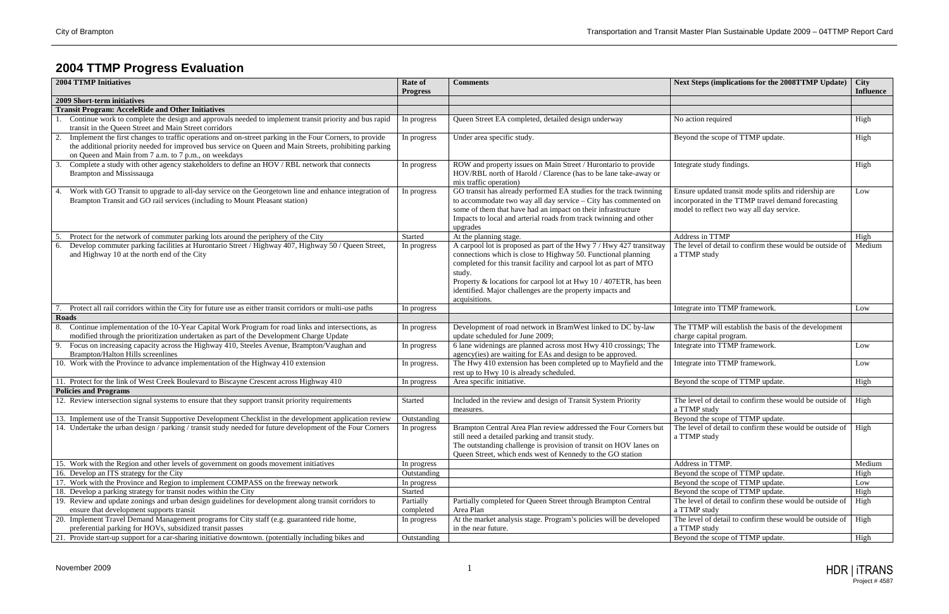

## **2004 TTMP Progress Evaluation**

|    | <b>2004 TTMP Initiatives</b>                                                                                                                                                                                                                                              | <b>Rate of</b><br><b>Progress</b> | <b>Comments</b>                                                                                                                                                                                                                                                                                                                                                         | <b>Next Steps (implications for the 2008TTMP Update)</b>                                                                                                | <b>City</b><br><b>Influence</b> |
|----|---------------------------------------------------------------------------------------------------------------------------------------------------------------------------------------------------------------------------------------------------------------------------|-----------------------------------|-------------------------------------------------------------------------------------------------------------------------------------------------------------------------------------------------------------------------------------------------------------------------------------------------------------------------------------------------------------------------|---------------------------------------------------------------------------------------------------------------------------------------------------------|---------------------------------|
|    | 2009 Short-term initiatives                                                                                                                                                                                                                                               |                                   |                                                                                                                                                                                                                                                                                                                                                                         |                                                                                                                                                         |                                 |
|    | <b>Transit Program: AcceleRide and Other Initiatives</b>                                                                                                                                                                                                                  |                                   |                                                                                                                                                                                                                                                                                                                                                                         |                                                                                                                                                         |                                 |
|    | Continue work to complete the design and approvals needed to implement transit priority and bus rapid<br>transit in the Queen Street and Main Street corridors                                                                                                            | In progress                       | Queen Street EA completed, detailed design underway                                                                                                                                                                                                                                                                                                                     | No action required                                                                                                                                      | High                            |
| 2. | Implement the first changes to traffic operations and on-street parking in the Four Corners, to provide<br>the additional priority needed for improved bus service on Queen and Main Streets, prohibiting parking<br>on Queen and Main from 7 a.m. to 7 p.m., on weekdays | In progress                       | Under area specific study.                                                                                                                                                                                                                                                                                                                                              | Beyond the scope of TTMP update.                                                                                                                        | High                            |
| 3. | Complete a study with other agency stakeholders to define an HOV / RBL network that connects<br><b>Brampton and Mississauga</b>                                                                                                                                           | In progress                       | ROW and property issues on Main Street / Hurontario to provide<br>HOV/RBL north of Harold / Clarence (has to be lane take-away or<br>mix traffic operation)                                                                                                                                                                                                             | Integrate study findings.                                                                                                                               | High                            |
|    | Work with GO Transit to upgrade to all-day service on the Georgetown line and enhance integration of<br>Brampton Transit and GO rail services (including to Mount Pleasant station)                                                                                       | In progress                       | GO transit has already performed EA studies for the track twinning<br>to accommodate two way all day service - City has commented on<br>some of them that have had an impact on their infrastructure<br>Impacts to local and arterial roads from track twinning and other<br>upgrades                                                                                   | Ensure updated transit mode splits and ridership are<br>incorporated in the TTMP travel demand forecasting<br>model to reflect two way all day service. | Low                             |
|    | Protect for the network of commuter parking lots around the periphery of the City                                                                                                                                                                                         | Started                           | At the planning stage.                                                                                                                                                                                                                                                                                                                                                  | Address in TTMP                                                                                                                                         | High                            |
| 6. | Develop commuter parking facilities at Hurontario Street / Highway 407, Highway 50 / Queen Street,<br>and Highway 10 at the north end of the City                                                                                                                         | In progress                       | A carpool lot is proposed as part of the Hwy 7 / Hwy 427 transitway<br>connections which is close to Highway 50. Functional planning<br>completed for this transit facility and carpool lot as part of MTO<br>study.<br>Property & locations for carpool lot at Hwy 10 / 407ETR, has been<br>identified. Major challenges are the property impacts and<br>acquisitions. | The level of detail to confirm these would be outside of<br>a TTMP study                                                                                | Medium                          |
|    | Protect all rail corridors within the City for future use as either transit corridors or multi-use paths                                                                                                                                                                  | In progress                       |                                                                                                                                                                                                                                                                                                                                                                         | Integrate into TTMP framework.                                                                                                                          | Low                             |
|    | Roads                                                                                                                                                                                                                                                                     |                                   |                                                                                                                                                                                                                                                                                                                                                                         |                                                                                                                                                         |                                 |
| 8. | Continue implementation of the 10-Year Capital Work Program for road links and intersections, as<br>modified through the prioritization undertaken as part of the Development Charge Update                                                                               | In progress                       | Development of road network in BramWest linked to DC by-law<br>update scheduled for June 2009;                                                                                                                                                                                                                                                                          | The TTMP will establish the basis of the development<br>charge capital program.                                                                         |                                 |
| 9. | Focus on increasing capacity across the Highway 410, Steeles Avenue, Brampton/Vaughan and<br><b>Brampton/Halton Hills screenlines</b>                                                                                                                                     | In progress                       | 6 lane widenings are planned across most Hwy 410 crossings; The<br>agency(ies) are waiting for EAs and design to be approved.                                                                                                                                                                                                                                           | Integrate into TTMP framework.                                                                                                                          | Low                             |
|    | 10. Work with the Province to advance implementation of the Highway 410 extension                                                                                                                                                                                         | In progress.                      | The Hwy 410 extension has been completed up to Mayfield and the<br>rest up to Hwy 10 is already scheduled.                                                                                                                                                                                                                                                              | Integrate into TTMP framework.                                                                                                                          | Low                             |
|    | 11. Protect for the link of West Creek Boulevard to Biscayne Crescent across Highway 410                                                                                                                                                                                  | In progress                       | Area specific initiative.                                                                                                                                                                                                                                                                                                                                               | Beyond the scope of TTMP update.                                                                                                                        | High                            |
|    | <b>Policies and Programs</b>                                                                                                                                                                                                                                              |                                   |                                                                                                                                                                                                                                                                                                                                                                         |                                                                                                                                                         |                                 |
|    | 12. Review intersection signal systems to ensure that they support transit priority requirements                                                                                                                                                                          | Started                           | Included in the review and design of Transit System Priority<br>measures.                                                                                                                                                                                                                                                                                               | The level of detail to confirm these would be outside of<br>a TTMP study                                                                                | High                            |
|    | 13. Implement use of the Transit Supportive Development Checklist in the development application review                                                                                                                                                                   | Outstanding                       |                                                                                                                                                                                                                                                                                                                                                                         | Beyond the scope of TTMP update.                                                                                                                        |                                 |
|    | 14. Undertake the urban design / parking / transit study needed for future development of the Four Corners                                                                                                                                                                | In progress                       | Brampton Central Area Plan review addressed the Four Corners but<br>still need a detailed parking and transit study.<br>The outstanding challenge is provision of transit on HOV lanes on<br>Queen Street, which ends west of Kennedy to the GO station                                                                                                                 | The level of detail to confirm these would be outside of $\parallel$ High<br>a TTMP study                                                               |                                 |
|    | 15. Work with the Region and other levels of government on goods movement initiatives                                                                                                                                                                                     | In progress                       |                                                                                                                                                                                                                                                                                                                                                                         | Address in TTMP.                                                                                                                                        | Medium                          |
|    | 16. Develop an ITS strategy for the City                                                                                                                                                                                                                                  | Outstanding                       |                                                                                                                                                                                                                                                                                                                                                                         | Beyond the scope of TTMP update.                                                                                                                        | High                            |
|    | 17. Work with the Province and Region to implement COMPASS on the freeway network                                                                                                                                                                                         | In progress                       |                                                                                                                                                                                                                                                                                                                                                                         | Beyond the scope of TTMP update.                                                                                                                        | Low                             |
|    | 18. Develop a parking strategy for transit nodes within the City                                                                                                                                                                                                          | Started                           |                                                                                                                                                                                                                                                                                                                                                                         | Beyond the scope of TTMP update.                                                                                                                        | High                            |
|    | 19. Review and update zonings and urban design guidelines for development along transit corridors to                                                                                                                                                                      | Partially                         | Partially completed for Queen Street through Brampton Central                                                                                                                                                                                                                                                                                                           | The level of detail to confirm these would be outside of                                                                                                | High                            |
|    | ensure that development supports transit                                                                                                                                                                                                                                  | completed                         | Area Plan                                                                                                                                                                                                                                                                                                                                                               | a TTMP study                                                                                                                                            |                                 |
|    | 20. Implement Travel Demand Management programs for City staff (e.g. guaranteed ride home,<br>preferential parking for HOVs, subsidized transit passes                                                                                                                    | In progress                       | At the market analysis stage. Program's policies will be developed<br>in the near future.                                                                                                                                                                                                                                                                               | The level of detail to confirm these would be outside of<br>a TTMP study                                                                                | High                            |
|    | 21. Provide start-up support for a car-sharing initiative downtown. (potentially including bikes and                                                                                                                                                                      | Outstanding                       |                                                                                                                                                                                                                                                                                                                                                                         | Beyond the scope of TTMP update.                                                                                                                        | High                            |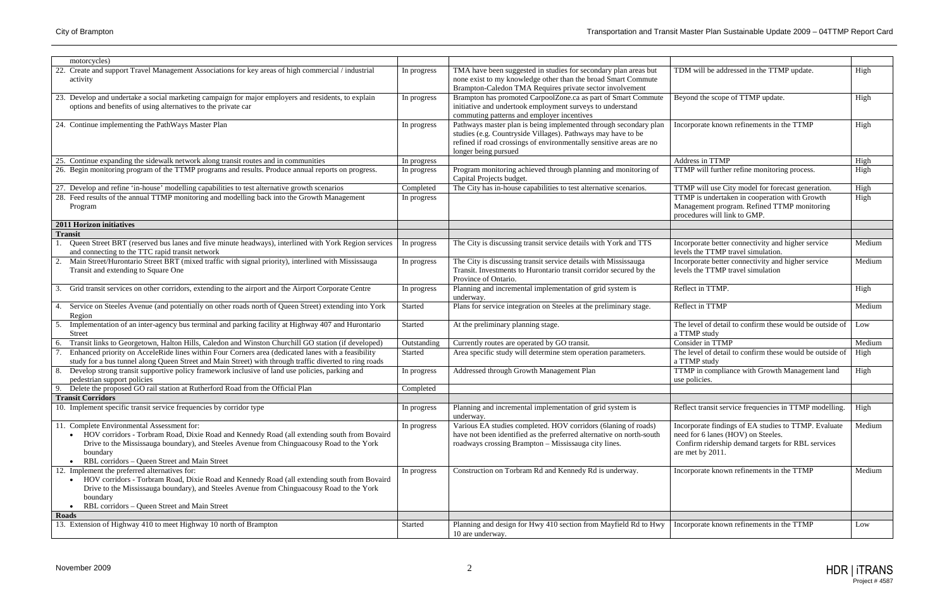

| motorcycles)                                                                                                                                                                                                                                                                                            |             |                                                                                                                                                                                                                                 |                                                                                                                                                                     |        |
|---------------------------------------------------------------------------------------------------------------------------------------------------------------------------------------------------------------------------------------------------------------------------------------------------------|-------------|---------------------------------------------------------------------------------------------------------------------------------------------------------------------------------------------------------------------------------|---------------------------------------------------------------------------------------------------------------------------------------------------------------------|--------|
| 22. Create and support Travel Management Associations for key areas of high commercial / industrial<br>activity                                                                                                                                                                                         | In progress | TMA have been suggested in studies for secondary plan areas but<br>none exist to my knowledge other than the broad Smart Commute<br>Brampton-Caledon TMA Requires private sector involvement                                    | TDM will be addressed in the TTMP update.                                                                                                                           | High   |
| 23. Develop and undertake a social marketing campaign for major employers and residents, to explain<br>options and benefits of using alternatives to the private car                                                                                                                                    | In progress | Brampton has promoted CarpoolZone.ca as part of Smart Commute<br>initiative and undertook employment surveys to understand<br>commuting patterns and employer incentives                                                        | Beyond the scope of TTMP update.                                                                                                                                    | High   |
| 24. Continue implementing the PathWays Master Plan                                                                                                                                                                                                                                                      | In progress | Pathways master plan is being implemented through secondary plan<br>studies (e.g. Countryside Villages). Pathways may have to be<br>refined if road crossings of environmentally sensitive areas are no<br>longer being pursued | Incorporate known refinements in the TTMP                                                                                                                           | High   |
| 25. Continue expanding the sidewalk network along transit routes and in communities                                                                                                                                                                                                                     | In progress |                                                                                                                                                                                                                                 | Address in TTMP                                                                                                                                                     | High   |
| 26. Begin monitoring program of the TTMP programs and results. Produce annual reports on progress.                                                                                                                                                                                                      | In progress | Program monitoring achieved through planning and monitoring of<br>Capital Projects budget.                                                                                                                                      | TTMP will further refine monitoring process.                                                                                                                        | High   |
| 27. Develop and refine 'in-house' modelling capabilities to test alternative growth scenarios                                                                                                                                                                                                           | Completed   | The City has in-house capabilities to test alternative scenarios.                                                                                                                                                               | TTMP will use City model for forecast generation.                                                                                                                   | High   |
| 28. Feed results of the annual TTMP monitoring and modelling back into the Growth Management<br>Program                                                                                                                                                                                                 | In progress |                                                                                                                                                                                                                                 | TTMP is undertaken in cooperation with Growth<br>Management program. Refined TTMP monitoring<br>procedures will link to GMP.                                        | High   |
| <b>2011 Horizon initiatives</b>                                                                                                                                                                                                                                                                         |             |                                                                                                                                                                                                                                 |                                                                                                                                                                     |        |
| <b>Transit</b>                                                                                                                                                                                                                                                                                          |             |                                                                                                                                                                                                                                 |                                                                                                                                                                     |        |
| Queen Street BRT (reserved bus lanes and five minute headways), interlined with York Region services<br>and connecting to the TTC rapid transit network                                                                                                                                                 | In progress | The City is discussing transit service details with York and TTS                                                                                                                                                                | Incorporate better connectivity and higher service<br>levels the TTMP travel simulation.                                                                            | Medium |
| Main Street/Hurontario Street BRT (mixed traffic with signal priority), interlined with Mississauga<br>Transit and extending to Square One                                                                                                                                                              | In progress | The City is discussing transit service details with Mississauga<br>Transit. Investments to Hurontario transit corridor secured by the<br>Province of Ontario.                                                                   | Incorporate better connectivity and higher service<br>levels the TTMP travel simulation                                                                             | Medium |
| Grid transit services on other corridors, extending to the airport and the Airport Corporate Centre                                                                                                                                                                                                     | In progress | Planning and incremental implementation of grid system is<br>underway.                                                                                                                                                          | Reflect in TTMP.                                                                                                                                                    | High   |
| Service on Steeles Avenue (and potentially on other roads north of Queen Street) extending into York<br>4.<br>Region                                                                                                                                                                                    | Started     | Plans for service integration on Steeles at the preliminary stage.                                                                                                                                                              | Reflect in TTMP                                                                                                                                                     | Medium |
| Implementation of an inter-agency bus terminal and parking facility at Highway 407 and Hurontario<br>Street                                                                                                                                                                                             | Started     | At the preliminary planning stage.                                                                                                                                                                                              | The level of detail to confirm these would be outside of<br>a TTMP study                                                                                            | Low    |
| Transit links to Georgetown, Halton Hills, Caledon and Winston Churchill GO station (if developed)                                                                                                                                                                                                      | Outstanding | Currently routes are operated by GO transit.                                                                                                                                                                                    | Consider in TTMP                                                                                                                                                    | Medium |
| Enhanced priority on AcceleRide lines within Four Corners area (dedicated lanes with a feasibility<br>study for a bus tunnel along Queen Street and Main Street) with through traffic diverted to ring roads                                                                                            | Started     | Area specific study will determine stem operation parameters.                                                                                                                                                                   | The level of detail to confirm these would be outside of<br>a TTMP study                                                                                            | High   |
| Develop strong transit supportive policy framework inclusive of land use policies, parking and<br>8.<br>pedestrian support policies                                                                                                                                                                     | In progress | Addressed through Growth Management Plan                                                                                                                                                                                        | TTMP in compliance with Growth Management land<br>use policies.                                                                                                     | High   |
| Delete the proposed GO rail station at Rutherford Road from the Official Plan                                                                                                                                                                                                                           | Completed   |                                                                                                                                                                                                                                 |                                                                                                                                                                     |        |
| <b>Transit Corridors</b>                                                                                                                                                                                                                                                                                |             |                                                                                                                                                                                                                                 |                                                                                                                                                                     |        |
| 10. Implement specific transit service frequencies by corridor type                                                                                                                                                                                                                                     | In progress | Planning and incremental implementation of grid system is<br>underway.                                                                                                                                                          | Reflect transit service frequencies in TTMP modelling.                                                                                                              | High   |
| 11. Complete Environmental Assessment for:<br>HOV corridors - Torbram Road, Dixie Road and Kennedy Road (all extending south from Bovaird<br>Drive to the Mississauga boundary), and Steeles Avenue from Chinguacousy Road to the York<br>boundary<br>RBL corridors - Queen Street and Main Street      | In progress | Various EA studies completed. HOV corridors (6laning of roads)<br>have not been identified as the preferred alternative on north-south<br>roadways crossing Brampton - Mississauga city lines.                                  | Incorporate findings of EA studies to TTMP. Evaluate<br>need for 6 lanes (HOV) on Steeles.<br>Confirm ridership demand targets for RBL services<br>are met by 2011. | Medium |
| 12. Implement the preferred alternatives for:<br>• HOV corridors - Torbram Road, Dixie Road and Kennedy Road (all extending south from Bovaird<br>Drive to the Mississauga boundary), and Steeles Avenue from Chinguacousy Road to the York<br>boundary<br>RBL corridors - Queen Street and Main Street | In progress | Construction on Torbram Rd and Kennedy Rd is underway.                                                                                                                                                                          | Incorporate known refinements in the TTMP                                                                                                                           | Medium |
| Roads                                                                                                                                                                                                                                                                                                   |             |                                                                                                                                                                                                                                 |                                                                                                                                                                     |        |
| 13. Extension of Highway 410 to meet Highway 10 north of Brampton                                                                                                                                                                                                                                       | Started     | Planning and design for Hwy 410 section from Mayfield Rd to Hwy<br>10 are underway.                                                                                                                                             | Incorporate known refinements in the TTMP                                                                                                                           | Low    |

## City of Brampton Transportation and Transit Master Plan Sustainable Update 2009 – 04TTMP Report Card